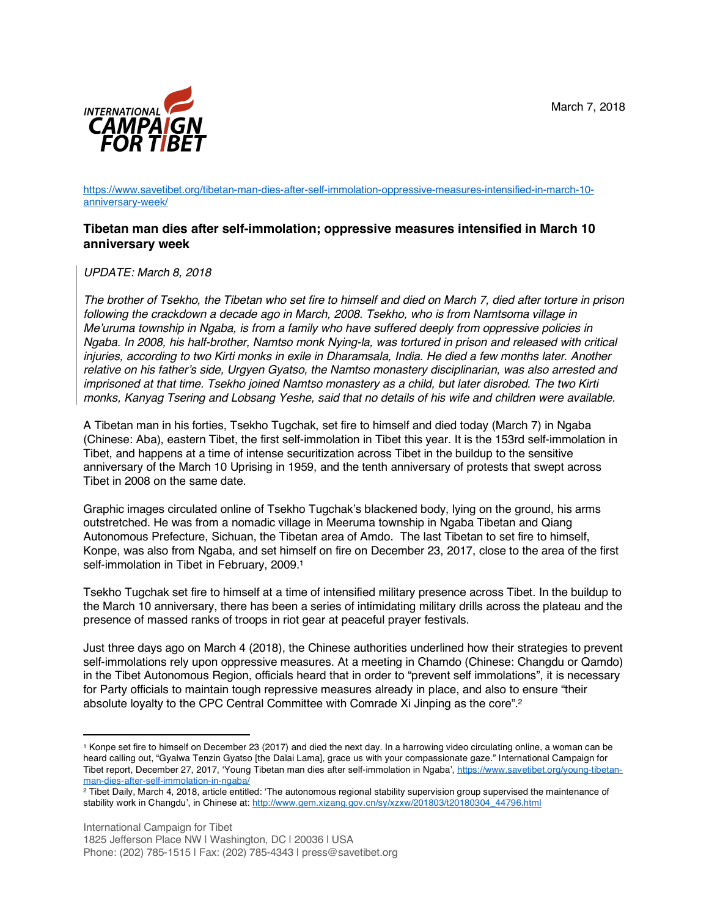

https://www.savetibet.org/tibetan-man-dies-after-self-immolation-oppressive-measures-intensified-in-march-10 anniversary-week/

## **Tibetan man dies after self-immolation; oppressive measures intensified in March 10 anniversary week**

*UPDATE: March 8, 2018*

 $\overline{a}$ 

*The brother of Tsekho, the Tibetan who set fire to himself and died on March 7, died after torture in prison following the crackdown a decade ago in March, 2008. Tsekho, who is from Namtsoma village in Me'uruma township in Ngaba, is from a family who have suffered deeply from oppressive policies in Ngaba. In 2008, his half-brother, Namtso monk Nying-la, was tortured in prison and released with critical injuries, according to two Kirti monks in exile in Dharamsala, India. He died a few months later. Another relative on his father's side, Urgyen Gyatso, the Namtso monastery disciplinarian, was also arrested and imprisoned at that time. Tsekho joined Namtso monastery as a child, but later disrobed. The two Kirti monks, Kanyag Tsering and Lobsang Yeshe, said that no details of his wife and children were available.*

A Tibetan man in his forties, Tsekho Tugchak, set fire to himself and died today (March 7) in Ngaba (Chinese: Aba), eastern Tibet, the first self-immolation in Tibet this year. It is the 153rd self-immolation in Tibet, and happens at a time of intense securitization across Tibet in the buildup to the sensitive anniversary of the March 10 Uprising in 1959, and the tenth anniversary of protests that swept across Tibet in 2008 on the same date.

Graphic images circulated online of Tsekho Tugchak's blackened body, lying on the ground, his arms outstretched. He was from a nomadic village in Meeruma township in Ngaba Tibetan and Qiang Autonomous Prefecture, Sichuan, the Tibetan area of Amdo. The last Tibetan to set fire to himself, Konpe, was also from Ngaba, and set himself on fire on December 23, 2017, close to the area of the first self-immolation in Tibet in February, 2009.<sup>1</sup>

Tsekho Tugchak set fire to himself at a time of intensified military presence across Tibet. In the buildup to the March 10 anniversary, there has been a series of intimidating military drills across the plateau and the presence of massed ranks of troops in riot gear at peaceful prayer festivals.

Just three days ago on March 4 (2018), the Chinese authorities underlined how their strategies to prevent self-immolations rely upon oppressive measures. At a meeting in Chamdo (Chinese: Changdu or Qamdo) in the Tibet Autonomous Region, officials heard that in order to "prevent self immolations", it is necessary for Party officials to maintain tough repressive measures already in place, and also to ensure "their absolute loyalty to the CPC Central Committee with Comrade Xi Jinping as the core".2

<sup>1</sup> Konpe set fire to himself on December 23 (2017) and died the next day. In a harrowing video circulating online, a woman can be heard calling out, "Gyalwa Tenzin Gyatso [the Dalai Lama], grace us with your compassionate gaze." International Campaign for Tibet report, December 27, 2017, 'Young Tibetan man dies after self-immolation in Ngaba', https://www.savetibet.org/young-tibetanman-dies-after-self-immolation-in-ngaba/

<sup>2</sup> Tibet Daily, March 4, 2018, article entitled: 'The autonomous regional stability supervision group supervised the maintenance of stability work in Changdu', in Chinese at: http://www.gem.xizang.gov.cn/sy/xzxw/201803/t20180304\_44796.html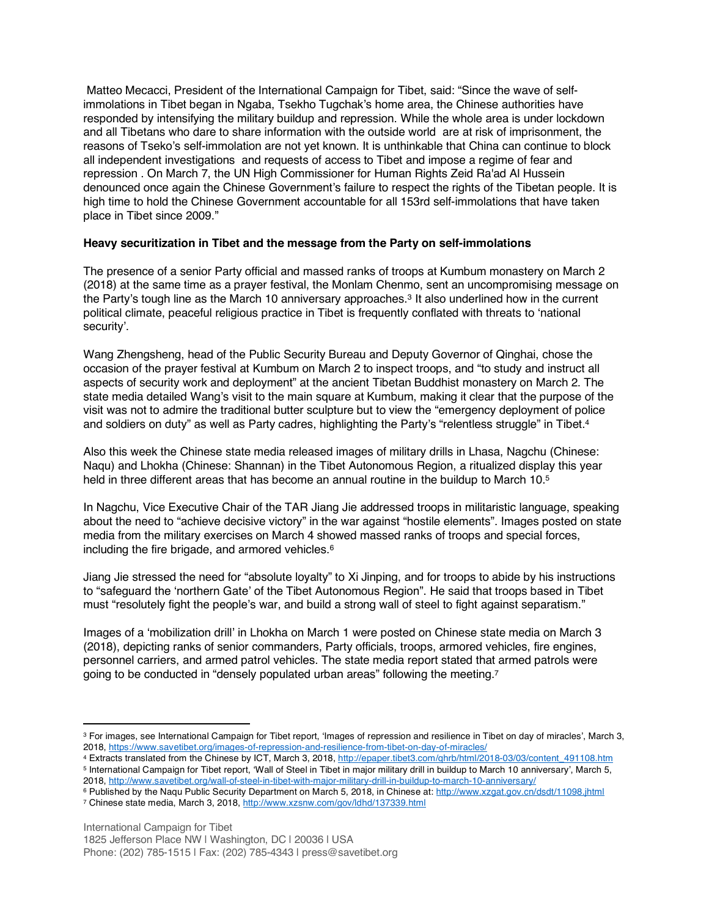Matteo Mecacci, President of the International Campaign for Tibet, said: "Since the wave of selfimmolations in Tibet began in Ngaba, Tsekho Tugchak's home area, the Chinese authorities have responded by intensifying the military buildup and repression. While the whole area is under lockdown and all Tibetans who dare to share information with the outside world are at risk of imprisonment, the reasons of Tseko's self-immolation are not yet known. It is unthinkable that China can continue to block all independent investigations and requests of access to Tibet and impose a regime of fear and repression . On March 7, the UN High Commissioner for Human Rights Zeid Ra'ad Al Hussein denounced once again the Chinese Government's failure to respect the rights of the Tibetan people. It is high time to hold the Chinese Government accountable for all 153rd self-immolations that have taken place in Tibet since 2009."

## **Heavy securitization in Tibet and the message from the Party on self-immolations**

The presence of a senior Party official and massed ranks of troops at Kumbum monastery on March 2 (2018) at the same time as a prayer festival, the Monlam Chenmo, sent an uncompromising message on the Party's tough line as the March 10 anniversary approaches.<sup>3</sup> It also underlined how in the current political climate, peaceful religious practice in Tibet is frequently conflated with threats to 'national security'.

Wang Zhengsheng, head of the Public Security Bureau and Deputy Governor of Qinghai, chose the occasion of the prayer festival at Kumbum on March 2 to inspect troops, and "to study and instruct all aspects of security work and deployment" at the ancient Tibetan Buddhist monastery on March 2. The state media detailed Wang's visit to the main square at Kumbum, making it clear that the purpose of the visit was not to admire the traditional butter sculpture but to view the "emergency deployment of police and soldiers on duty" as well as Party cadres, highlighting the Party's "relentless struggle" in Tibet.<sup>4</sup>

Also this week the Chinese state media released images of military drills in Lhasa, Nagchu (Chinese: Naqu) and Lhokha (Chinese: Shannan) in the Tibet Autonomous Region, a ritualized display this year held in three different areas that has become an annual routine in the buildup to March 10.<sup>5</sup>

In Nagchu, Vice Executive Chair of the TAR Jiang Jie addressed troops in militaristic language, speaking about the need to "achieve decisive victory" in the war against "hostile elements". Images posted on state media from the military exercises on March 4 showed massed ranks of troops and special forces, including the fire brigade, and armored vehicles.6

Jiang Jie stressed the need for "absolute loyalty" to Xi Jinping, and for troops to abide by his instructions to "safeguard the 'northern Gate' of the Tibet Autonomous Region". He said that troops based in Tibet must "resolutely fight the people's war, and build a strong wall of steel to fight against separatism."

Images of a 'mobilization drill' in Lhokha on March 1 were posted on Chinese state media on March 3 (2018), depicting ranks of senior commanders, Party officials, troops, armored vehicles, fire engines, personnel carriers, and armed patrol vehicles. The state media report stated that armed patrols were going to be conducted in "densely populated urban areas" following the meeting.<sup>7</sup>

 $\overline{a}$ 

<sup>3</sup> For images, see International Campaign for Tibet report, 'Images of repression and resilience in Tibet on day of miracles', March 3, 2018, https://www.savetibet.org/images-of-repression-and-resilience-from-tibet-on-day-of-miracles/

<sup>4</sup> Extracts translated from the Chinese by ICT, March 3, 2018, http://epaper.tibet3.com/qhrb/html/2018-03/03/content\_491108.htm <sup>5</sup> International Campaign for Tibet report, 'Wall of Steel in Tibet in major military drill in buildup to March 10 anniversary', March 5, 2018, http://www.savetibet.org/wall-of-steel-in-tibet-with-major-military-drill-in-buildup-to-march-10-anniversary/

<sup>&</sup>lt;sup>6</sup> Published by the Naqu Public Security Department on March 5, 2018, in Chinese at: http://www.xzgat.gov.cn/dsdt/11098.jhtml <sup>7</sup> Chinese state media, March 3, 2018, http://www.xzsnw.com/gov/ldhd/137339.html